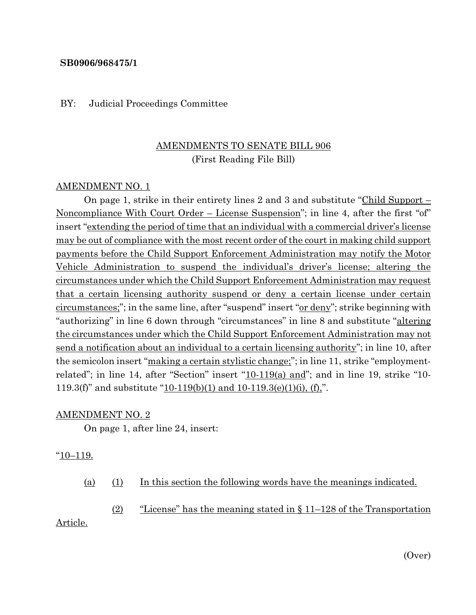### **SB0906/968475/1**

#### BY: Judicial Proceedings Committee

# AMENDMENTS TO SENATE BILL 906 (First Reading File Bill)

### AMENDMENT NO. 1

On page 1, strike in their entirety lines 2 and 3 and substitute "Child Support – Noncompliance With Court Order – License Suspension"; in line 4, after the first "of" insert "extending the period of time that an individual with a commercial driver's license may be out of compliance with the most recent order of the court in making child support payments before the Child Support Enforcement Administration may notify the Motor Vehicle Administration to suspend the individual's driver's license; altering the circumstances under which the Child Support Enforcement Administration may request that a certain licensing authority suspend or deny a certain license under certain circumstances;"; in the same line, after "suspend" insert "or deny"; strike beginning with "authorizing" in line 6 down through "circumstances" in line 8 and substitute "altering the circumstances under which the Child Support Enforcement Administration may not send a notification about an individual to a certain licensing authority"; in line 10, after the semicolon insert "making a certain stylistic change;"; in line 11, strike "employmentrelated"; in line 14, after "Section" insert "10-119(a) and"; and in line 19, strike "10- 119.3(f)" and substitute "10-119(b)(1) and 10-119.3(e)(1)(i), (f),".

#### AMENDMENT NO. 2

On page 1, after line 24, insert:

#### $\frac{10-119.}{2}$

(a) (1) In this section the following words have the meanings indicated.

(2) "License" has the meaning stated in  $\S 11-128$  of the Transportation

Article.

(Over)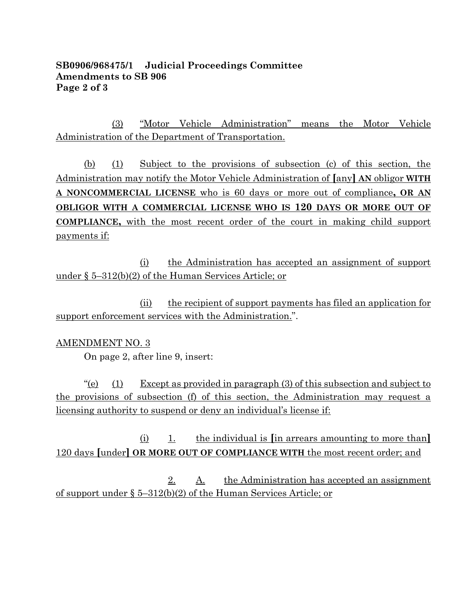## **SB0906/968475/1 Judicial Proceedings Committee Amendments to SB 906 Page 2 of 3**

(3) "Motor Vehicle Administration" means the Motor Vehicle Administration of the Department of Transportation.

(b) (1) Subject to the provisions of subsection (c) of this section, the Administration may notify the Motor Vehicle Administration of **[**any**] AN** obligor **WITH A NONCOMMERCIAL LICENSE** who is 60 days or more out of compliance**, OR AN OBLIGOR WITH A COMMERCIAL LICENSE WHO IS 120 DAYS OR MORE OUT OF COMPLIANCE,** with the most recent order of the court in making child support payments if:

(i) the Administration has accepted an assignment of support under § 5–312(b)(2) of the Human Services Article; or

(ii) the recipient of support payments has filed an application for support enforcement services with the Administration.".

## AMENDMENT NO. 3

On page 2, after line 9, insert:

"(e)  $(1)$  Except as provided in paragraph (3) of this subsection and subject to the provisions of subsection (f) of this section, the Administration may request a licensing authority to suspend or deny an individual's license if:

(i) 1. the individual is **[**in arrears amounting to more than**]** 120 days **[**under**] OR MORE OUT OF COMPLIANCE WITH** the most recent order; and

2. A. the Administration has accepted an assignment of support under § 5–312(b)(2) of the Human Services Article; or